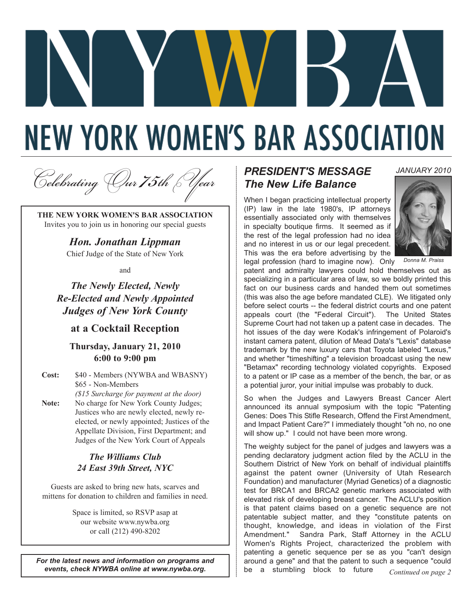# **NEW YORK WOMEN'S BAR ASSOCIATION**

<sup>C</sup>*elebrating* O*ur 75th* Y*ear*

**THE NEW YORK WOMEN'S BAR ASSOCIATION** Invites you to join us in honoring our special guests

> *Hon. Jonathan Lippman* Chief Judge of the State of New York

> > and

*The Newly Elected, Newly Re-Elected and Newly Appointed Judges of New York County*

**at a Cocktail Reception**

#### **Thursday, January 21, 2010 6:00 to 9:00 pm**

**Cost:** \$40 - Members (NYWBA and WBASNY) \$65 - Non-Members *(\$15 Surcharge for payment at the door)* **Note:** No charge for New York County Judges; Justices who are newly elected, newly reelected, or newly appointed; Justices of the Appellate Division, First Department; and Judges of the New York Court of Appeals

#### *The Williams Club 24 East 39th Street, NYC*

Guests are asked to bring new hats, scarves and mittens for donation to children and families in need.

> Space is limited, so RSVP asap at our website www.nywba.org or call (212) 490-8202

*For the latest news and information on programs and events, check NYWBA online at www.nywba.org.*

## *PRESIDENT'S MESSAGE The New Life Balance*

When I began practicing intellectual property (IP) law in the late 1980's, IP attorneys essentially associated only with themselves in specialty boutique firms. It seemed as if the rest of the legal profession had no idea and no interest in us or our legal precedent. This was the era before advertising by the



*JANUARY 2010*

*Donna M. Praiss*

legal profession (hard to imagine now). Only patent and admiralty lawyers could hold themselves out as specializing in a particular area of law, so we boldly printed this fact on our business cards and handed them out sometimes (this was also the age before mandated CLE). We litigated only before select courts -- the federal district courts and one patent appeals court (the "Federal Circuit"). The United States Supreme Court had not taken up a patent case in decades. The hot issues of the day were Kodak's infringement of Polaroid's instant camera patent, dilution of Mead Data's "Lexis" database trademark by the new luxury cars that Toyota labeled "Lexus," and whether "timeshifting" a television broadcast using the new "Betamax" recording technology violated copyrights. Exposed to a patent or IP case as a member of the bench, the bar, or as a potential juror, your initial impulse was probably to duck.

So when the Judges and Lawyers Breast Cancer Alert announced its annual symposium with the topic "Patenting Genes: Does This Stifle Research, Offend the First Amendment, and Impact Patient Care?" I immediately thought "oh no, no one will show up." I could not have been more wrong.

The weighty subject for the panel of judges and lawyers was a pending declaratory judgment action filed by the ACLU in the Southern District of New York on behalf of individual plaintiffs against the patent owner (University of Utah Research Foundation) and manufacturer (Myriad Genetics) of a diagnostic test for BRCA1 and BRCA2 genetic markers associated with elevated risk of developing breast cancer. The ACLU's position is that patent claims based on a genetic sequence are not patentable subject matter, and they "constitute patents on thought, knowledge, and ideas in violation of the First Amendment." Sandra Park, Staff Attorney in the ACLU Women's Rights Project, characterized the problem with patenting a genetic sequence per se as you "can't design around a gene" and that the patent to such a sequence "could be a stumbling block to future *Continued on page 2*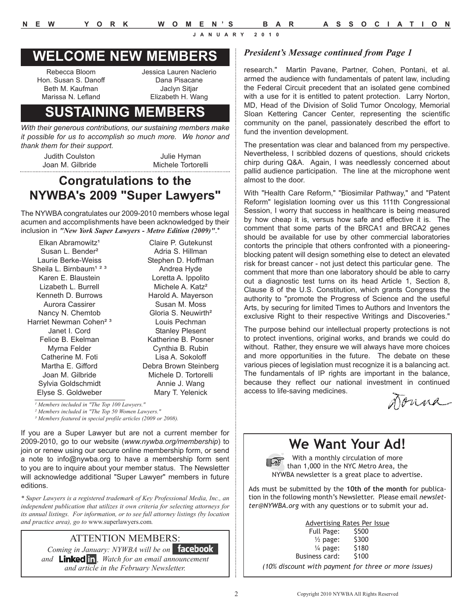# **WELCOME NEW MEMBERS**

Rebecca Bloom Hon. Susan S. Danoff Beth M. Kaufman Marissa N. Lefland

Jessica Lauren Naclerio Dana Pisacane Jaclyn Sitjar Elizabeth H. Wang

# **SUSTAINING MEMBERS**

*With their generous contributions, our sustaining members make it possible for us to accomplish so much more. We honor and thank them for their support.*

Judith Coulston Joan M. Gilbride

Julie Hyman Michele Tortorelli

 $\overline{a}$ .  $\overline{b}$ 

# **Congratulations to the NYWBA's 2009 "Super Lawyers"**

The NYWBA congratulates our 2009-2010 members whose legal acumen and accomplishments have been acknowledged by their inclusion in *"New York Super Lawyers - Metro Edition (2009)"*.\*

| Elkan Abramowitz <sup>1</sup>      | Claire P. Gutekunst             |
|------------------------------------|---------------------------------|
| Susan L. Bender <sup>2</sup>       | Adria S. Hillman                |
| Laurie Berke-Weiss                 | Stephen D. Hoffman              |
| Sheila L. Birnbaum <sup>123</sup>  | Andrea Hyde                     |
| Karen E. Blaustein                 | Loretta A. Ippolito             |
| Lizabeth L. Burrell                | Michele A. Katz <sup>2</sup>    |
| Kenneth D. Burrows                 | Harold A. Mayerson              |
| Aurora Cassirer                    | Susan M. Moss                   |
| Nancy N. Chemtob                   | Gloria S. Neuwirth <sup>2</sup> |
| Harriet Newman Cohen <sup>23</sup> | Louis Pechman                   |
| Janet I. Cord                      | <b>Stanley Plesent</b>          |
| Felice B. Ekelman                  | Katherine B. Posner             |
| Myrna Felder                       | Cynthia B. Rubin                |
| Catherine M. Foti                  | Lisa A. Sokoloff                |
| Martha E. Gifford                  | Debra Brown Steinberg           |
| Joan M. Gilbride                   | Michele D. Tortorelli           |
| Sylvia Goldschmidt                 | Annie J. Wang                   |
| Elyse S. Goldweber                 | Mary T. Yelenick                |
|                                    |                                 |

*¹ Members included in "The Top 100 Lawyers."*

*² Members included in "The Top 50 Women Lawyers."*

*³ Members featured in special profile articles (2009 or 2008).*

If you are a Super Lawyer but are not a current member for 2009-2010, go to our website (*www.nywba.org/membership*) to join or renew using our secure online membership form, or send a note to info@nywba.org to have a membership form sent to you are to inquire about your member status. The Newsletter will acknowledge additional "Super Lawyer" members in future editions.

*\* Super Lawyers is a registered trademark of Key Professional Media, Inc., an independent publication that utilizes it own criteria for selecting attorneys for its annual listings. For information, or to see full attorney listings (by location and practice area), go to* www.superlawyers.com*.* 

#### ATTENTION MEMBERS:

*Coming in January: NYWBA will be on Facebook*  and **Linked in** Watch for an email announcement *and article in the February Newsletter.*

#### *President's Message continued from Page 1*

research." Martin Pavane, Partner, Cohen, Pontani, et al. armed the audience with fundamentals of patent law, including the Federal Circuit precedent that an isolated gene combined with a use for it is entitled to patent protection. Larry Norton, MD, Head of the Division of Solid Tumor Oncology, Memorial Sloan Kettering Cancer Center, representing the scientific community on the panel, passionately described the effort to fund the invention development.

The presentation was clear and balanced from my perspective. Nevertheless, I scribbled dozens of questions, should crickets chirp during Q&A. Again, I was needlessly concerned about pallid audience participation. The line at the microphone went almost to the door.

With "Health Care Reform," "Biosimilar Pathway," and "Patent Reform" legislation looming over us this 111th Congressional Session, I worry that success in healthcare is being measured by how cheap it is, versus how safe and effective it is. The comment that some parts of the BRCA1 and BRCA2 genes should be available for use by other commercial laboratories contorts the principle that others confronted with a pioneeringblocking patent will design something else to detect an elevated risk for breast cancer - not just detect this particular gene. The comment that more than one laboratory should be able to carry out a diagnostic test turns on its head Article 1, Section 8, Clause 8 of the U.S. Constitution, which grants Congress the authority to "promote the Progress of Science and the useful Arts, by securing for limited Times to Authors and Inventors the exclusive Right to their respective Writings and Discoveries."

The purpose behind our intellectual property protections is not to protect inventions, original works, and brands we could do without. Rather, they ensure we will always have more choices and more opportunities in the future. The debate on these various pieces of legislation must recognize it is a balancing act. The fundamentals of IP rights are important in the balance, because they reflect our national investment in continued access to life-saving medicines.

Donna

# **We Want Your Ad!**

With a monthly circulation of more than 1,000 in the NYC Metro Area, the NYWBA newsletter is a great place to advertise.

Ads must be submitted by the **10th of the month** for publication in the following month's Newsletter. Please email *newsletter@NYWBA.org* with any questions or to submit your ad.

|                     | Advertising Rates Per Issue |
|---------------------|-----------------------------|
| Full Page:          | \$500                       |
| $\frac{1}{2}$ page: | \$300                       |
| $\frac{1}{4}$ page: | \$180                       |
| Business card:      | \$100                       |

*(10% discount with payment for three or more issues)*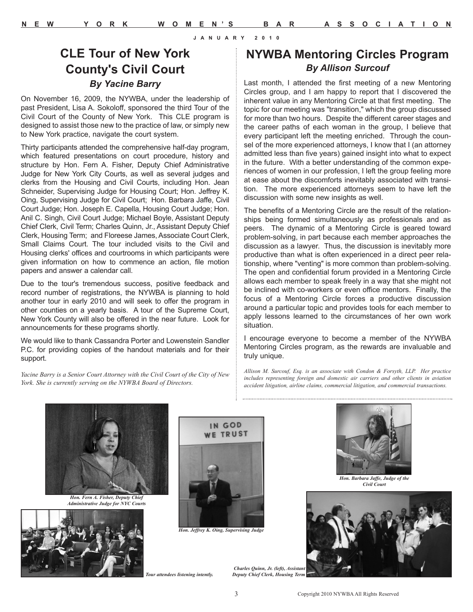## **CLE Tour of New York County's Civil Court**  *By Yacine Barry*

On November 16, 2009, the NYWBA, under the leadership of past President, Lisa A. Sokoloff, sponsored the third Tour of the Civil Court of the County of New York. This CLE program is designed to assist those new to the practice of law, or simply new to New York practice, navigate the court system.

Thirty participants attended the comprehensive half-day program, which featured presentations on court procedure, history and structure by Hon. Fern A. Fisher, Deputy Chief Administrative Judge for New York City Courts, as well as several judges and clerks from the Housing and Civil Courts, including Hon. Jean Schneider, Supervising Judge for Housing Court; Hon. Jeffrey K. Oing, Supervising Judge for Civil Court; Hon. Barbara Jaffe, Civil Court Judge; Hon. Joseph E. Capella, Housing Court Judge; Hon. Anil C. Singh, Civil Court Judge; Michael Boyle, Assistant Deputy Chief Clerk, Civil Term; Charles Quinn, Jr., Assistant Deputy Chief Clerk, Housing Term; and Floreese James, Associate Court Clerk, Small Claims Court. The tour included visits to the Civil and Housing clerks' offices and courtrooms in which participants were given information on how to commence an action, file motion papers and answer a calendar call.

Due to the tour's tremendous success, positive feedback and record number of registrations, the NYWBA is planning to hold another tour in early 2010 and will seek to offer the program in other counties on a yearly basis. A tour of the Supreme Court, New York County will also be offered in the near future. Look for announcements for these programs shortly.

We would like to thank Cassandra Porter and Lowenstein Sandler P.C. for providing copies of the handout materials and for their support.

*Yacine Barry is a Senior Court Attorney with the Civil Court of the City of New York. She is currently serving on the NYWBA Board of Directors.* 

## **NYWBA Mentoring Circles Program** *By Allison Surcouf*

Last month, I attended the first meeting of a new Mentoring Circles group, and I am happy to report that I discovered the inherent value in any Mentoring Circle at that first meeting. The topic for our meeting was "transition," which the group discussed for more than two hours. Despite the different career stages and the career paths of each woman in the group, I believe that every participant left the meeting enriched. Through the counsel of the more experienced attorneys, I know that I (an attorney admitted less than five years) gained insight into what to expect in the future. With a better understanding of the common experiences of women in our profession, I left the group feeling more at ease about the discomforts inevitably associated with transition. The more experienced attorneys seem to have left the discussion with some new insights as well.

The benefits of a Mentoring Circle are the result of the relationships being formed simultaneously as professionals and as peers. The dynamic of a Mentoring Circle is geared toward problem-solving, in part because each member approaches the discussion as a lawyer. Thus, the discussion is inevitably more productive than what is often experienced in a direct peer relationship, where "venting" is more common than problem-solving. The open and confidential forum provided in a Mentoring Circle allows each member to speak freely in a way that she might not be inclined with co-workers or even office mentors. Finally, the focus of a Mentoring Circle forces a productive discussion around a particular topic and provides tools for each member to apply lessons learned to the circumstances of her own work situation.

I encourage everyone to become a member of the NYWBA Mentoring Circles program, as the rewards are invaluable and truly unique.

*Allison M. Surcouf, Esq. is an associate with Condon & Forsyth, LLP. Her practice includes representing foreign and domestic air carriers and other clients in aviation accident litigation, airline claims, commercial litigation, and commercial transactions.* 



*Hon. Fern A. Fisher, Deputy Chief Administrative Judge for NYC Courts*





*Hon. Jeffrey K. Oing, Supervising Judge*



*Hon. Barbara Jaffe, Judge of the Civil Court*



*Tour attendees listening intently.*

*Charles Quinn, Jr. (left), Assistant Deputy Chief Clerk, Housing Term*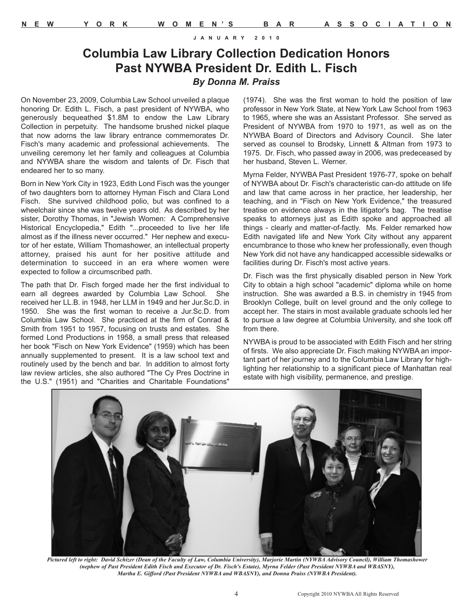## **Columbia Law Library Collection Dedication Honors Past NYWBA President Dr. Edith L. Fisch** *By Donna M. Praiss*

On November 23, 2009, Columbia Law School unveiled a plaque honoring Dr. Edith L. Fisch, a past president of NYWBA, who generously bequeathed \$1.8M to endow the Law Library Collection in perpetuity. The handsome brushed nickel plaque that now adorns the law library entrance commemorates Dr. Fisch's many academic and professional achievements. The unveiling ceremony let her family and colleagues at Columbia and NYWBA share the wisdom and talents of Dr. Fisch that endeared her to so many.

Born in New York City in 1923, Edith Lond Fisch was the younger of two daughters born to attorney Hyman Fisch and Clara Lond Fisch. She survived childhood polio, but was confined to a wheelchair since she was twelve years old. As described by her sister, Dorothy Thomas, in "Jewish Women: A Comprehensive Historical Encyclopedia," Edith "...proceeded to live her life almost as if the illness never occurred." Her nephew and executor of her estate, William Thomashower, an intellectual property attorney, praised his aunt for her positive attitude and determination to succeed in an era where women were expected to follow a circumscribed path.

The path that Dr. Fisch forged made her the first individual to earn all degrees awarded by Columbia Law School. She received her LL.B. in 1948, her LLM in 1949 and her Jur.Sc.D. in 1950. She was the first woman to receive a Jur.Sc.D. from Columbia Law School. She practiced at the firm of Conrad & Smith from 1951 to 1957, focusing on trusts and estates. She formed Lond Productions in 1958, a small press that released her book "Fisch on New York Evidence" (1959) which has been annually supplemented to present. It is a law school text and routinely used by the bench and bar. In addition to almost forty law review articles, she also authored "The Cy Pres Doctrine in the U.S." (1951) and "Charities and Charitable Foundations"

(1974). She was the first woman to hold the position of law professor in New York State, at New York Law School from 1963 to 1965, where she was an Assistant Professor. She served as President of NYWBA from 1970 to 1971, as well as on the NYWBA Board of Directors and Advisory Council. She later served as counsel to Brodsky, Linnett & Altman from 1973 to 1975. Dr. Fisch, who passed away in 2006, was predeceased by her husband, Steven L. Werner.

Myrna Felder, NYWBA Past President 1976-77, spoke on behalf of NYWBA about Dr. Fisch's characteristic can-do attitude on life and law that came across in her practice, her leadership, her teaching, and in "Fisch on New York Evidence," the treasured treatise on evidence always in the litigator's bag. The treatise speaks to attorneys just as Edith spoke and approached all things - clearly and matter-of-factly. Ms. Felder remarked how Edith navigated life and New York City without any apparent encumbrance to those who knew her professionally, even though New York did not have any handicapped accessible sidewalks or facilities during Dr. Fisch's most active years.

Dr. Fisch was the first physically disabled person in New York City to obtain a high school "academic" diploma while on home instruction. She was awarded a B.S. in chemistry in 1945 from Brooklyn College, built on level ground and the only college to accept her. The stairs in most available graduate schools led her to pursue a law degree at Columbia University, and she took off from there.

NYWBA is proud to be associated with Edith Fisch and her string of firsts. We also appreciate Dr. Fisch making NYWBA an important part of her journey and to the Columbia Law Library for highlighting her relationship to a significant piece of Manhattan real estate with high visibility, permanence, and prestige.



*Pictured left to right: David Schizer (Dean of the Faculty of Law, Columbia University), Marjorie Martin (NYWBA Advisory Council), William Thomashower (nephew of Past President Edith Fisch and Executor of Dr. Fisch's Estate), Myrna Felder (Past President NYWBA and WBASNY), Martha E. Gifford (Past President NYWBA and WBASNY), and Donna Praiss (NYWBA President).*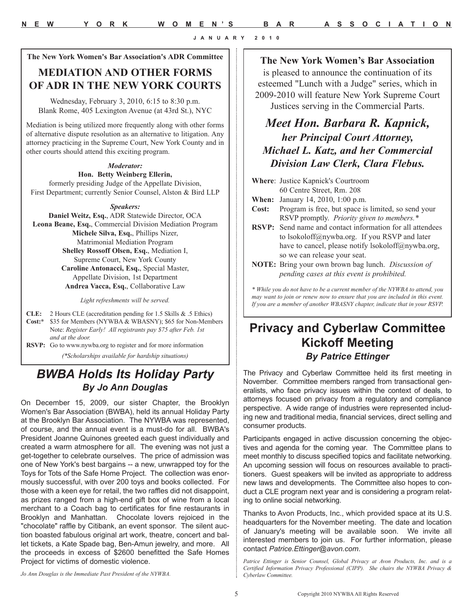**The New York Women's Bar Association's ADR Committee** 

## **MEDIATION AND OTHER FORMS OF ADR IN THE NEW YORK COURTS**

Wednesday, February 3, 2010, 6:15 to 8:30 p.m. Blank Rome, 405 Lexington Avenue (at 43rd St.), NYC

Mediation is being utilized more frequently along with other forms of alternative dispute resolution as an alternative to litigation. Any attorney practicing in the Supreme Court, New York County and in other courts should attend this exciting program.

#### *Moderator:*

**Hon. Betty Weinberg Ellerin,**  formerly presiding Judge of the Appellate Division, First Department; currently Senior Counsel, Alston & Bird LLP

#### *Speakers:*

**Daniel Weitz, Esq.**, ADR Statewide Director, OCA **Leona Beane, Esq.**, Commercial Division Mediation Program **Michele Silva, Esq.**, Phillips Nizer, Matrimonial Mediation Program **Shelley Rossoff Olsen, Esq.**, Mediation I, Supreme Court, New York County **Caroline Antonacci, Esq.**, Special Master, Appellate Division, 1st Department **Andrea Vacca, Esq.**, Collaborative Law

*Light refreshments will be served.*

**CLE:** 2 Hours CLE (accreditation pending for 1.5 Skills & .5 Ethics) **Cost:\*** \$35 for Members (NYWBA & WBASNY); \$65 for Non-Members Note: *Register Early! All registrants pay \$75 after Feb. 1st and at the door.* 

**RSVP:** Go to www.nywba.org to register and for more information *(\*Scholarships available for hardship situations)*

## *BWBA Holds Its Holiday Party By Jo Ann Douglas*

On December 15, 2009, our sister Chapter, the Brooklyn Women's Bar Association (BWBA), held its annual Holiday Party at the Brooklyn Bar Association. The NYWBA was represented, of course, and the annual event is a must-do for all. BWBA's President Joanne Quinones greeted each guest individually and created a warm atmosphere for all. The evening was not just a get-together to celebrate ourselves. The price of admission was one of New York's best bargains -- a new, unwrapped toy for the Toys for Tots of the Safe Home Project. The collection was enormously successful, with over 200 toys and books collected. For those with a keen eye for retail, the two raffles did not disappoint, as prizes ranged from a high-end gift box of wine from a local merchant to a Coach bag to certificates for fine restaurants in Brooklyn and Manhattan. Chocolate lovers rejoiced in the "chocolate" raffle by Citibank, an event sponsor. The silent auction boasted fabulous original art work, theatre, concert and ballet tickets, a Kate Spade bag, Ben-Amun jewelry, and more. All the proceeds in excess of \$2600 benefitted the Safe Homes Project for victims of domestic violence.

**The New York Women's Bar Association**

is pleased to announce the continuation of its esteemed "Lunch with a Judge" series, which in 2009-2010 will feature New York Supreme Court Justices serving in the Commercial Parts.

## *Meet Hon. Barbara R. Kapnick, her Principal Court Attorney, Michael L. Katz, and her Commercial Division Law Clerk, Clara Flebus.*

|              | <b>Where: Justice Kapnick's Courtroom</b>                                                                                                                  |
|--------------|------------------------------------------------------------------------------------------------------------------------------------------------------------|
|              | 60 Centre Street, Rm. 208                                                                                                                                  |
| When:        | January 14, 2010, 1:00 p.m.                                                                                                                                |
| <b>Cost:</b> | Program is free, but space is limited, so send your                                                                                                        |
|              | RSVP promptly. Priority given to members.*                                                                                                                 |
|              | <b>RSVP:</b> Send name and contact information for all attendees                                                                                           |
|              | to lsokoloff@nywba.org. If you RSVP and later                                                                                                              |
|              | have to cancel, please notify lsokoloff@nywba.org,                                                                                                         |
|              | so we can release your seat.                                                                                                                               |
|              | <b>NOTE:</b> Bring your own brown bag lunch. Discussion of                                                                                                 |
|              | pending cases at this event is prohibited.                                                                                                                 |
|              | * While you do not have to be a current member of the NYWBA to attend, you<br>may want to join or renew now to ensure that you are included in this event. |

# **Privacy and Cyberlaw Committee Kickoff Meeting**  *By Patrice Ettinger*

*If you are a member of another WBASNY chapter, indicate that in your RSVP.* 

The Privacy and Cyberlaw Committee held its first meeting in November. Committee members ranged from transactional generalists, who face privacy issues within the context of deals, to attorneys focused on privacy from a regulatory and compliance perspective. A wide range of industries were represented including new and traditional media, financial services, direct selling and consumer products.

Participants engaged in active discussion concerning the objectives and agenda for the coming year. The Committee plans to meet monthly to discuss specified topics and facilitate networking. An upcoming session will focus on resources available to practitioners. Guest speakers will be invited as appropriate to address new laws and developments. The Committee also hopes to conduct a CLE program next year and is considering a program relating to online social networking.

Thanks to Avon Products, Inc., which provided space at its U.S. headquarters for the November meeting. The date and location of January's meeting will be available soon. We invite all interested members to join us. For further information, please contact *Patrice.Ettinger@avon.com*.

*Patrice Ettinger is Senior Counsel, Global Privacy at Avon Products, Inc. and is a Certified Information Privacy Professional (CIPP). She chairs the NYWBA Privacy & Cyberlaw Committee.*

*Jo Ann Douglas is the Immediate Past President of the NYWBA.*